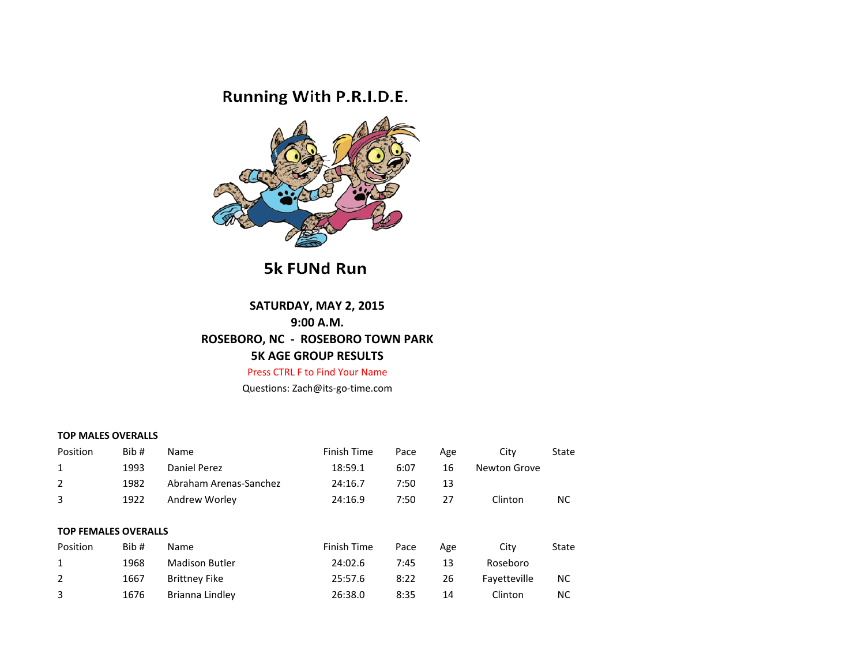## Running With P.R.I.D.E.



**5k FUNd Run** 

## **SATURDAY, MAY 2, 2015 9:00 A.M. ROSEBORO, NC - ROSEBORO TOWN PARK 5K AGE GROUP RESULTS**

Press CTRL F to Find Your Name

Questions: Zach@its-go-time.com

## **TOP MALES OVERALLS**

| Position                    | Bib# | <b>Name</b>            | Finish Time | Pace | Age | City         | State |
|-----------------------------|------|------------------------|-------------|------|-----|--------------|-------|
| 1                           | 1993 | Daniel Perez           | 18:59.1     | 6:07 | 16  | Newton Grove |       |
| 2                           | 1982 | Abraham Arenas-Sanchez | 24:16.7     | 7:50 | 13  |              |       |
| 3                           | 1922 | Andrew Worley          | 24:16.9     | 7:50 | 27  | Clinton      | NС    |
|                             |      |                        |             |      |     |              |       |
| <b>TOP FEMALES OVERALLS</b> |      |                        |             |      |     |              |       |
| Position                    | Bib# | Name                   | Finish Time | Pace | Age | City         | State |
| 1                           | 1968 | <b>Madison Butler</b>  | 24:02.6     | 7:45 | 13  | Roseboro     |       |
| 2                           | 1667 | <b>Brittney Fike</b>   | 25:57.6     | 8:22 | 26  | Favetteville | NС    |
| 3                           | 1676 | Brianna Lindley        | 26:38.0     | 8:35 | 14  | Clinton      | NC    |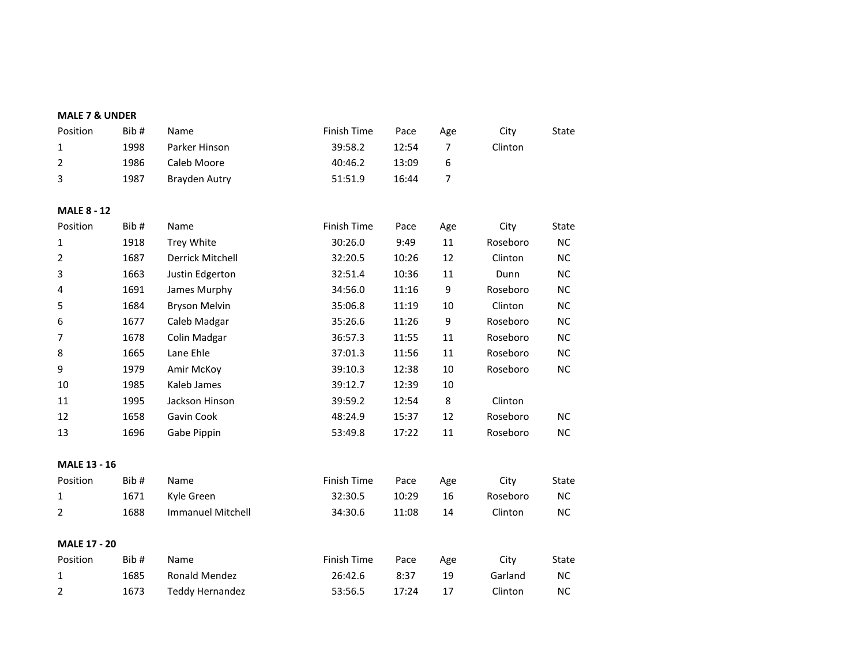| <b>MALE 7 &amp; UNDER</b> |      |                          |                    |       |                |          |           |
|---------------------------|------|--------------------------|--------------------|-------|----------------|----------|-----------|
| Position                  | Bib# | Name                     | Finish Time        | Pace  | Age            | City     | State     |
| $\mathbf{1}$              | 1998 | Parker Hinson            | 39:58.2            | 12:54 | $\overline{7}$ | Clinton  |           |
| $\overline{2}$            | 1986 | Caleb Moore              | 40:46.2            | 13:09 | 6              |          |           |
| 3                         | 1987 | <b>Brayden Autry</b>     | 51:51.9            | 16:44 | $\overline{7}$ |          |           |
| <b>MALE 8 - 12</b>        |      |                          |                    |       |                |          |           |
| Position                  | Bib# | Name                     | <b>Finish Time</b> | Pace  | Age            | City     | State     |
| $\mathbf{1}$              | 1918 | <b>Trey White</b>        | 30:26.0            | 9:49  | 11             | Roseboro | <b>NC</b> |
| $\overline{2}$            | 1687 | Derrick Mitchell         | 32:20.5            | 10:26 | 12             | Clinton  | <b>NC</b> |
| 3                         | 1663 | Justin Edgerton          | 32:51.4            | 10:36 | 11             | Dunn     | NC        |
| $\overline{\mathbf{4}}$   | 1691 | James Murphy             | 34:56.0            | 11:16 | 9              | Roseboro | NC        |
| 5                         | 1684 | <b>Bryson Melvin</b>     | 35:06.8            | 11:19 | 10             | Clinton  | <b>NC</b> |
| 6                         | 1677 | Caleb Madgar             | 35:26.6            | 11:26 | 9              | Roseboro | <b>NC</b> |
| $\overline{7}$            | 1678 | Colin Madgar             | 36:57.3            | 11:55 | 11             | Roseboro | <b>NC</b> |
| 8                         | 1665 | Lane Ehle                | 37:01.3            | 11:56 | 11             | Roseboro | <b>NC</b> |
| 9                         | 1979 | Amir McKoy               | 39:10.3            | 12:38 | 10             | Roseboro | NC        |
| 10                        | 1985 | Kaleb James              | 39:12.7            | 12:39 | 10             |          |           |
| 11                        | 1995 | Jackson Hinson           | 39:59.2            | 12:54 | 8              | Clinton  |           |
| 12                        | 1658 | Gavin Cook               | 48:24.9            | 15:37 | 12             | Roseboro | <b>NC</b> |
| 13                        | 1696 | Gabe Pippin              | 53:49.8            | 17:22 | 11             | Roseboro | NC        |
| <b>MALE 13 - 16</b>       |      |                          |                    |       |                |          |           |
| Position                  | Bib# | Name                     | Finish Time        | Pace  | Age            | City     | State     |
| $\mathbf{1}$              | 1671 | Kyle Green               | 32:30.5            | 10:29 | 16             | Roseboro | NC        |
| 2                         | 1688 | <b>Immanuel Mitchell</b> | 34:30.6            | 11:08 | 14             | Clinton  | NC        |
| <b>MALE 17 - 20</b>       |      |                          |                    |       |                |          |           |
| Position                  | Bib# | Name                     | Finish Time        | Pace  | Age            | City     | State     |
| $\mathbf{1}$              | 1685 | Ronald Mendez            | 26:42.6            | 8:37  | 19             | Garland  | <b>NC</b> |
| 2                         | 1673 | <b>Teddy Hernandez</b>   | 53:56.5            | 17:24 | 17             | Clinton  | <b>NC</b> |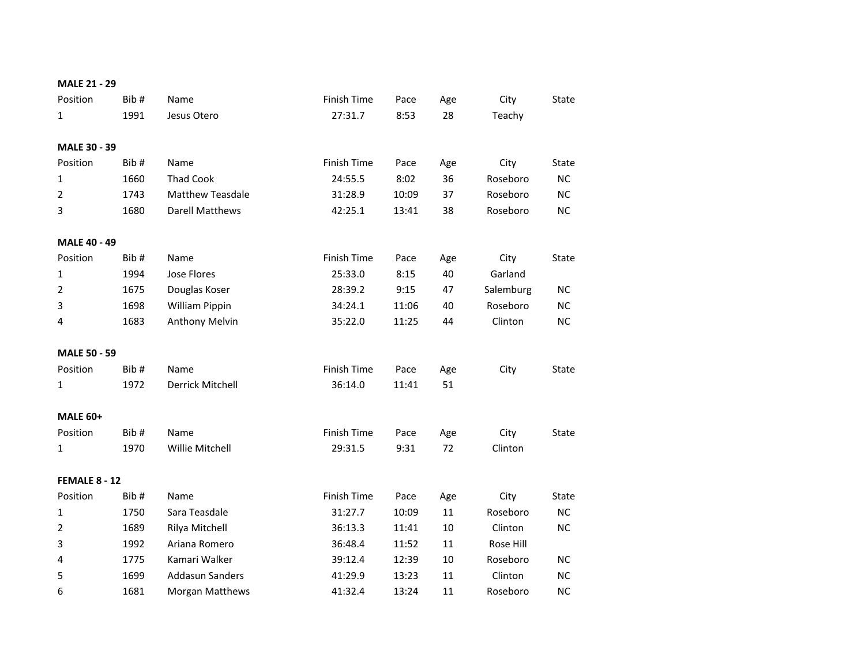| <b>MALE 21 - 29</b>         |      |                         |                    |       |        |           |              |
|-----------------------------|------|-------------------------|--------------------|-------|--------|-----------|--------------|
| Position                    | Bib# | Name                    | Finish Time        | Pace  | Age    | City      | State        |
| 1                           | 1991 | Jesus Otero             | 27:31.7            | 8:53  | 28     | Teachy    |              |
|                             |      |                         |                    |       |        |           |              |
| MALE 30 - 39                |      |                         |                    |       |        |           |              |
| Position                    | Bib# | Name                    | Finish Time        | Pace  | Age    | City      | State        |
| $\mathbf{1}$                | 1660 | <b>Thad Cook</b>        | 24:55.5            | 8:02  | 36     | Roseboro  | <b>NC</b>    |
| $\overline{2}$              | 1743 | <b>Matthew Teasdale</b> | 31:28.9            | 10:09 | 37     | Roseboro  | NC           |
| 3                           | 1680 | <b>Darell Matthews</b>  | 42:25.1            | 13:41 | 38     | Roseboro  | NC           |
| MALE 40 - 49                |      |                         |                    |       |        |           |              |
| Position                    | Bib# | Name                    | Finish Time        | Pace  | Age    | City      | State        |
| $\mathbf{1}$                | 1994 | Jose Flores             | 25:33.0            | 8:15  | 40     | Garland   |              |
| $\overline{2}$              | 1675 | Douglas Koser           | 28:39.2            | 9:15  | 47     | Salemburg | NC           |
| 3                           | 1698 | William Pippin          | 34:24.1            | 11:06 | 40     | Roseboro  | NC           |
| 4                           | 1683 | <b>Anthony Melvin</b>   | 35:22.0            | 11:25 | 44     | Clinton   | <b>NC</b>    |
|                             |      |                         |                    |       |        |           |              |
| <b>MALE 50 - 59</b>         |      |                         |                    |       |        |           |              |
| Position                    | Bib# | Name                    | <b>Finish Time</b> | Pace  | Age    | City      | <b>State</b> |
| 1                           | 1972 | Derrick Mitchell        | 36:14.0            | 11:41 | 51     |           |              |
|                             |      |                         |                    |       |        |           |              |
| <b>MALE 60+</b><br>Position | Bib# | Name                    | Finish Time        |       |        |           |              |
|                             |      |                         |                    | Pace  | Age    | City      | State        |
| 1                           | 1970 | Willie Mitchell         | 29:31.5            | 9:31  | 72     | Clinton   |              |
| FEMALE 8 - 12               |      |                         |                    |       |        |           |              |
| Position                    | Bib# | Name                    | Finish Time        | Pace  | Age    | City      | State        |
| $\mathbf{1}$                | 1750 | Sara Teasdale           | 31:27.7            | 10:09 | 11     | Roseboro  | <b>NC</b>    |
| $\overline{2}$              | 1689 | Rilya Mitchell          | 36:13.3            | 11:41 | $10\,$ | Clinton   | <b>NC</b>    |
| 3                           | 1992 | Ariana Romero           | 36:48.4            | 11:52 | 11     | Rose Hill |              |
| 4                           | 1775 | Kamari Walker           | 39:12.4            | 12:39 | 10     | Roseboro  | <b>NC</b>    |
| 5                           | 1699 | <b>Addasun Sanders</b>  | 41:29.9            | 13:23 | 11     | Clinton   | <b>NC</b>    |
| 6                           | 1681 | Morgan Matthews         | 41:32.4            | 13:24 | 11     | Roseboro  | <b>NC</b>    |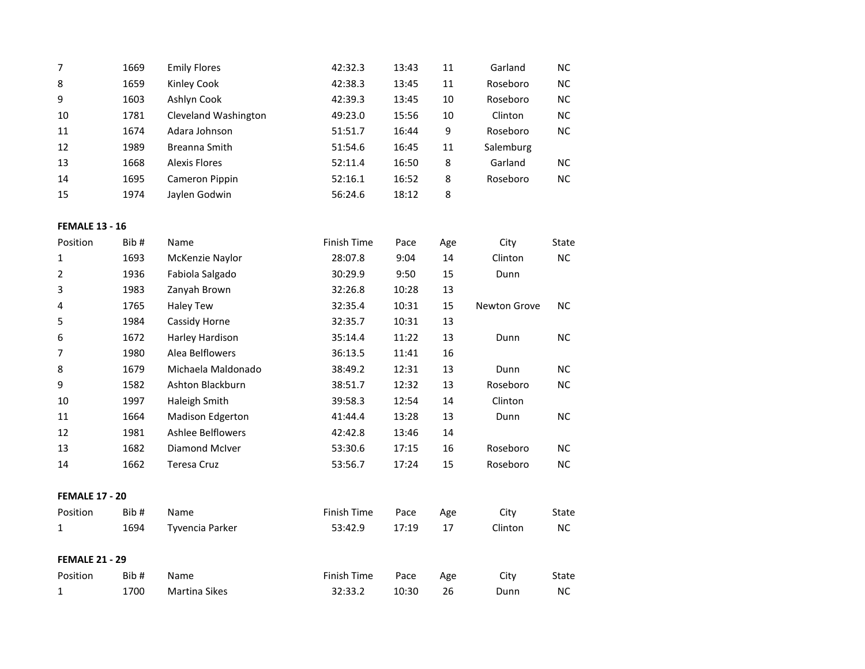| 7  | 1669 | <b>Emily Flores</b>  | 42:32.3 | 13:43 | 11 | Garland   | NC. |
|----|------|----------------------|---------|-------|----|-----------|-----|
| 8  | 1659 | Kinley Cook          | 42:38.3 | 13:45 | 11 | Roseboro  | NC. |
| 9  | 1603 | Ashlyn Cook          | 42:39.3 | 13:45 | 10 | Roseboro  | NC. |
| 10 | 1781 | Cleveland Washington | 49:23.0 | 15:56 | 10 | Clinton   | NC. |
| 11 | 1674 | Adara Johnson        | 51:51.7 | 16:44 | 9  | Roseboro  | NC. |
| 12 | 1989 | Breanna Smith        | 51:54.6 | 16:45 | 11 | Salemburg |     |
| 13 | 1668 | Alexis Flores        | 52:11.4 | 16:50 | 8  | Garland   | NC. |
| 14 | 1695 | Cameron Pippin       | 52:16.1 | 16:52 | 8  | Roseboro  | NC. |
| 15 | 1974 | Jaylen Godwin        | 56:24.6 | 18:12 | 8  |           |     |

## **FEMALE 13 - 16**

| Position              | Bib# | Name                     | Finish Time | Pace  | Age | City                | State     |
|-----------------------|------|--------------------------|-------------|-------|-----|---------------------|-----------|
| 1                     | 1693 | McKenzie Naylor          | 28:07.8     | 9:04  | 14  | Clinton             | <b>NC</b> |
| $\overline{2}$        | 1936 | Fabiola Salgado          | 30:29.9     | 9:50  | 15  | Dunn                |           |
| 3                     | 1983 | Zanyah Brown             | 32:26.8     | 10:28 | 13  |                     |           |
| 4                     | 1765 | Haley Tew                | 32:35.4     | 10:31 | 15  | <b>Newton Grove</b> | <b>NC</b> |
| 5                     | 1984 | Cassidy Horne            | 32:35.7     | 10:31 | 13  |                     |           |
| 6                     | 1672 | Harley Hardison          | 35:14.4     | 11:22 | 13  | Dunn                | <b>NC</b> |
| 7                     | 1980 | Alea Belflowers          | 36:13.5     | 11:41 | 16  |                     |           |
| 8                     | 1679 | Michaela Maldonado       | 38:49.2     | 12:31 | 13  | Dunn                | <b>NC</b> |
| 9                     | 1582 | Ashton Blackburn         | 38:51.7     | 12:32 | 13  | Roseboro            | <b>NC</b> |
| 10                    | 1997 | Haleigh Smith            | 39:58.3     | 12:54 | 14  | Clinton             |           |
| 11                    | 1664 | Madison Edgerton         | 41:44.4     | 13:28 | 13  | Dunn                | <b>NC</b> |
| 12                    | 1981 | <b>Ashlee Belflowers</b> | 42:42.8     | 13:46 | 14  |                     |           |
| 13                    | 1682 | <b>Diamond McIver</b>    | 53:30.6     | 17:15 | 16  | Roseboro            | <b>NC</b> |
| 14                    | 1662 | <b>Teresa Cruz</b>       | 53:56.7     | 17:24 | 15  | Roseboro            | <b>NC</b> |
|                       |      |                          |             |       |     |                     |           |
| <b>FEMALE 17 - 20</b> |      |                          |             |       |     |                     |           |
| Position              | Bib# | Name                     | Finish Time | Pace  | Age | City                | State     |
| 1                     | 1694 | Tyvencia Parker          | 53:42.9     | 17:19 | 17  | Clinton             | <b>NC</b> |
|                       |      |                          |             |       |     |                     |           |
| <b>FEMALE 21 - 29</b> |      |                          |             |       |     |                     |           |
| Position              | Bib# | Name                     | Finish Time | Pace  | Age | City                | State     |
| 1                     | 1700 | <b>Martina Sikes</b>     | 32:33.2     | 10:30 | 26  | Dunn                | <b>NC</b> |